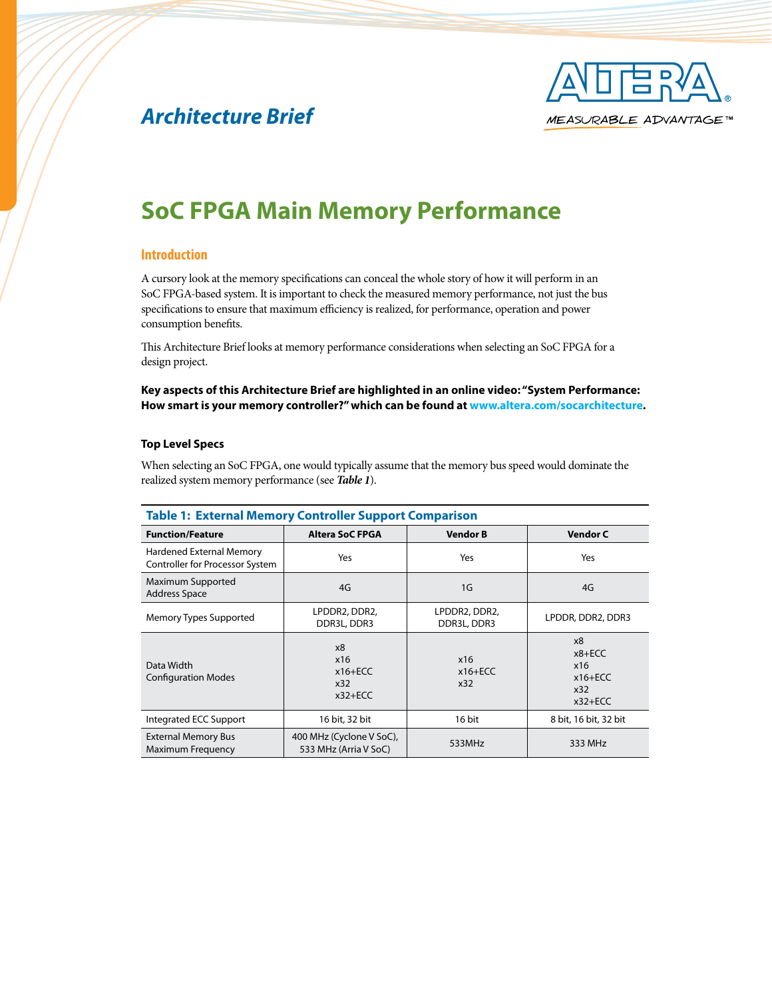

# *Architecture Brief*

# **SoC FPGA Main Memory Performance**

## **Introduction**

A cursory look at the memory specifications can conceal the whole story of how it will perform in an SoC FPGA-based system. It is important to check the measured memory performance, not just the bus specifications to ensure that maximum efficiency is realized, for performance, operation and power consumption benefits.

This Architecture Brief looks at memory performance considerations when selecting an SoC FPGA for a design project.

### **Key aspects of this Architecture Brief are highlighted in an online video: "System Performance: How smart is your memory controller?" which can be found at [www.altera.com/socarchitecture.](www.altera.com/socarchitecture)**

#### **Top Level Specs**

When selecting an SoC FPGA, one would typically assume that the memory bus speed would dominate the realized system memory performance (see *Table 1*).

| <b>Table 1: External Memory Controller Support Comparison</b> |                                                   |                              |                                                            |
|---------------------------------------------------------------|---------------------------------------------------|------------------------------|------------------------------------------------------------|
| <b>Function/Feature</b>                                       | <b>Altera SoC FPGA</b>                            | <b>Vendor B</b>              | <b>Vendor C</b>                                            |
| Hardened External Memory<br>Controller for Processor System   | Yes                                               | Yes                          | Yes                                                        |
| Maximum Supported<br><b>Address Space</b>                     | 4G                                                | 1G                           | 4G                                                         |
| Memory Types Supported                                        | LPDDR2, DDR2,<br>DDR3L, DDR3                      | LPDDR2, DDR2,<br>DDR3L, DDR3 | LPDDR, DDR2, DDR3                                          |
| Data Width<br><b>Configuration Modes</b>                      | x8<br>x16<br>$x16 + ECC$<br>x32<br>$x32+ECC$      | x16<br>$x16 + ECC$<br>x32    | x8<br>$x8 + ECC$<br>x16<br>$x16 + ECC$<br>x32<br>$x32+ECC$ |
| Integrated ECC Support                                        | 16 bit, 32 bit                                    | 16 bit                       | 8 bit, 16 bit, 32 bit                                      |
| <b>External Memory Bus</b><br><b>Maximum Frequency</b>        | 400 MHz (Cyclone V SoC),<br>533 MHz (Arria V SoC) | 533MHz                       | 333 MHz                                                    |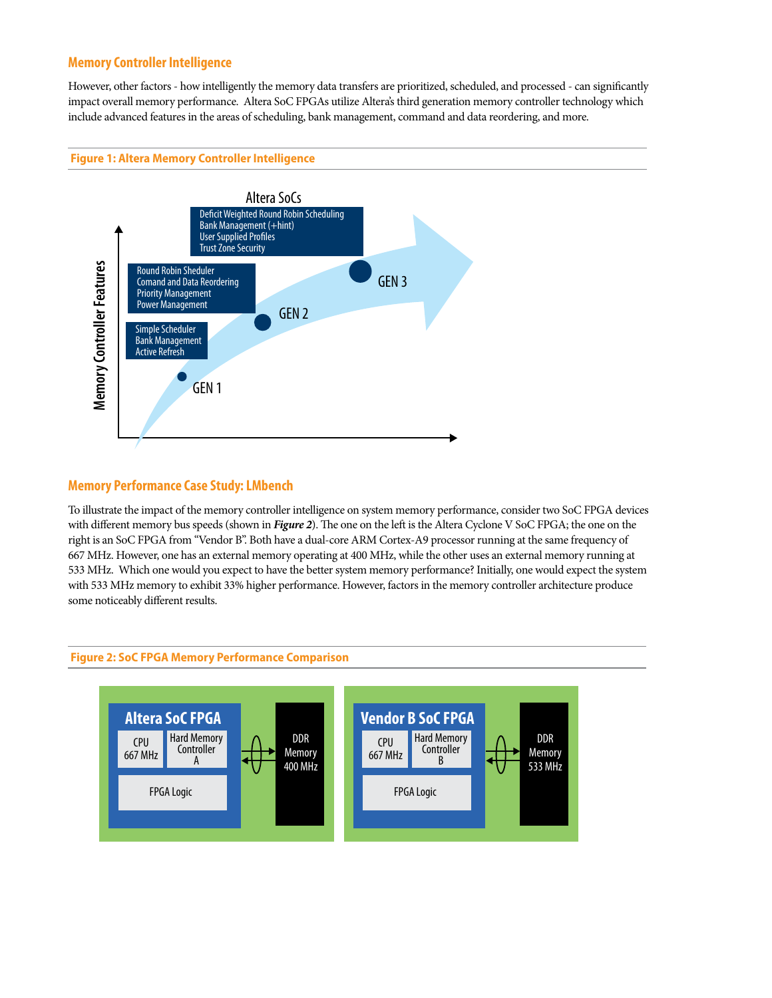## **Memory Controller Intelligence**

However, other factors - how intelligently the memory data transfers are prioritized, scheduled, and processed - can significantly impact overall memory performance. Altera SoC FPGAs utilize Altera's third generation memory controller technology which include advanced features in the areas of scheduling, bank management, command and data reordering, and more.

### **Figure 1: Altera Memory Controller Intelligence**



## **Memory Performance Case Study: LMbench**

To illustrate the impact of the memory controller intelligence on system memory performance, consider two SoC FPGA devices with different memory bus speeds (shown in *Figure 2*). The one on the left is the Altera Cyclone V SoC FPGA; the one on the right is an SoC FPGA from "Vendor B". Both have a dual-core ARM Cortex-A9 processor running at the same frequency of 667 MHz. However, one has an external memory operating at 400 MHz, while the other uses an external memory running at 533 MHz. Which one would you expect to have the better system memory performance? Initially, one would expect the system with 533 MHz memory to exhibit 33% higher performance. However, factors in the memory controller architecture produce some noticeably different results.



#### **Figure 2: SoC FPGA Memory Performance Comparison**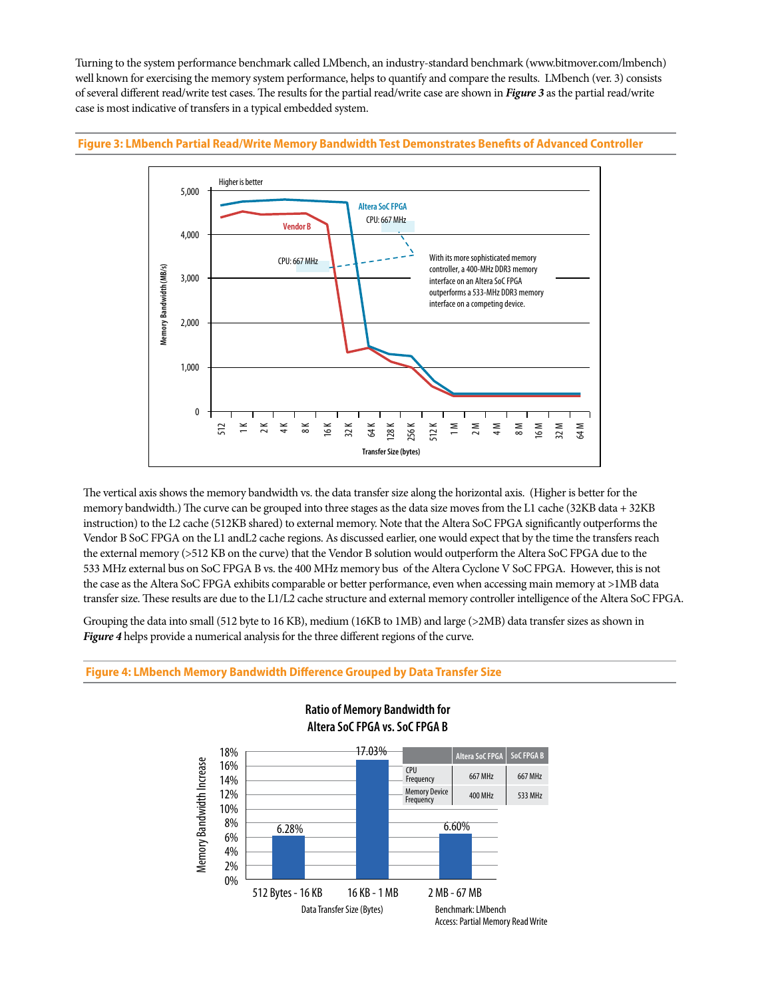Turning to the system performance benchmark called LMbench, an industry-standard benchmark (www.bitmover.com/lmbench) well known for exercising the memory system performance, helps to quantify and compare the results. LMbench (ver. 3) consists of several different read/write test cases. The results for the partial read/write case are shown in *Figure 3* as the partial read/write case is most indicative of transfers in a typical embedded system.

#### **Figure 3: LMbench Partial Read/Write Memory Bandwidth Test Demonstrates Benefits of Advanced Controller**



The vertical axis shows the memory bandwidth vs. the data transfer size along the horizontal axis. (Higher is better for the memory bandwidth.) The curve can be grouped into three stages as the data size moves from the L1 cache (32KB data + 32KB) instruction) to the L2 cache (512KB shared) to external memory. Note that the Altera SoC FPGA significantly outperforms the Vendor B SoC FPGA on the L1 andL2 cache regions. As discussed earlier, one would expect that by the time the transfers reach the external memory (>512 KB on the curve) that the Vendor B solution would outperform the Altera SoC FPGA due to the 533 MHz external bus on SoC FPGA B vs. the 400 MHz memory bus of the Altera Cyclone V SoC FPGA. However, this is not the case as the Altera SoC FPGA exhibits comparable or better performance, even when accessing main memory at >1MB data transfer size. These results are due to the L1/L2 cache structure and external memory controller intelligence of the Altera SoC FPGA.

Grouping the data into small (512 byte to 16 KB), medium (16KB to 1MB) and large (>2MB) data transfer sizes as shown in *Figure 4* helps provide a numerical analysis for the three different regions of the curve.



### **Ratio of Memory Bandwidth for Altera SoC FPGA vs. SoC FPGA B**